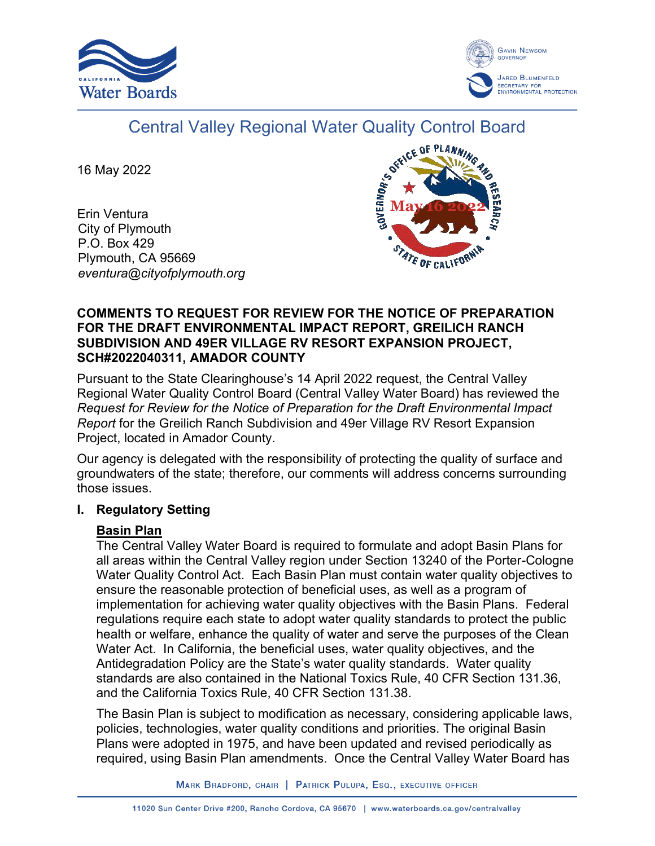



# Central Valley Regional Water Quality Control Board

16 May 2022

Erin Ventura City of Plymouth P.O. Box 429 Plymouth, CA 95669 *eventura@cityofplymouth.org*



#### **COMMENTS TO REQUEST FOR REVIEW FOR THE NOTICE OF PREPARATION FOR THE DRAFT ENVIRONMENTAL IMPACT REPORT, GREILICH RANCH SUBDIVISION AND 49ER VILLAGE RV RESORT EXPANSION PROJECT, SCH#2022040311, AMADOR COUNTY**

Pursuant to the State Clearinghouse's 14 April 2022 request, the Central Valley Regional Water Quality Control Board (Central Valley Water Board) has reviewed the *Request for Review for the Notice of Preparation for the Draft Environmental Impact Report* for the Greilich Ranch Subdivision and 49er Village RV Resort Expansion Project, located in Amador County.

Our agency is delegated with the responsibility of protecting the quality of surface and groundwaters of the state; therefore, our comments will address concerns surrounding those issues.

# **I. Regulatory Setting**

# **Basin Plan**

The Central Valley Water Board is required to formulate and adopt Basin Plans for all areas within the Central Valley region under Section 13240 of the Porter-Cologne Water Quality Control Act. Each Basin Plan must contain water quality objectives to ensure the reasonable protection of beneficial uses, as well as a program of implementation for achieving water quality objectives with the Basin Plans. Federal regulations require each state to adopt water quality standards to protect the public health or welfare, enhance the quality of water and serve the purposes of the Clean Water Act. In California, the beneficial uses, water quality objectives, and the Antidegradation Policy are the State's water quality standards. Water quality standards are also contained in the National Toxics Rule, 40 CFR Section 131.36, and the California Toxics Rule, 40 CFR Section 131.38.

The Basin Plan is subject to modification as necessary, considering applicable laws, policies, technologies, water quality conditions and priorities. The original Basin Plans were adopted in 1975, and have been updated and revised periodically as required, using Basin Plan amendments. Once the Central Valley Water Board has

MARK BRADFORD, CHAIR | PATRICK PULUPA, ESQ., EXECUTIVE OFFICER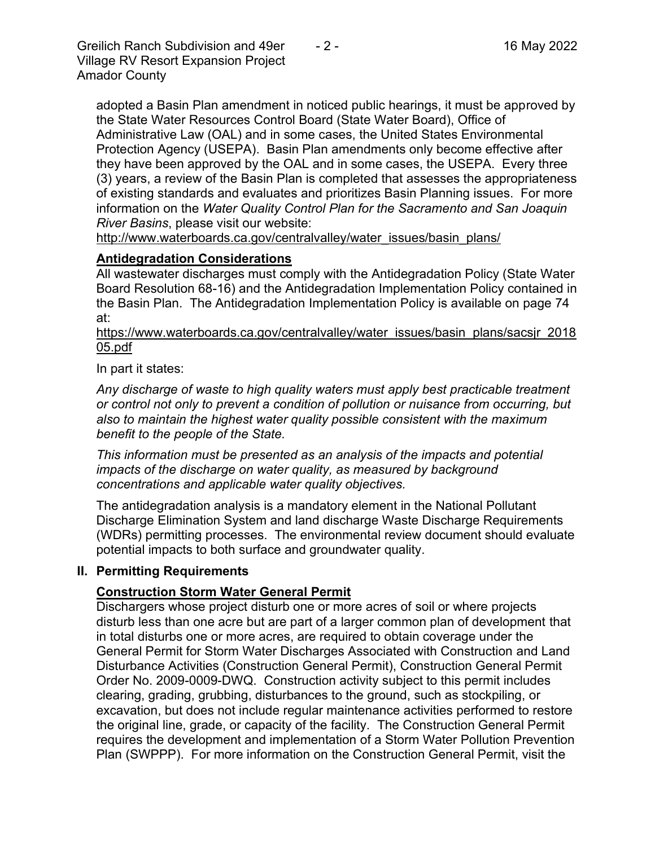Greilich Ranch Subdivision and 49er  $-2$  - 16 May 2022 Village RV Resort Expansion Project Amador County

adopted a Basin Plan amendment in noticed public hearings, it must be approved by the State Water Resources Control Board (State Water Board), Office of Administrative Law (OAL) and in some cases, the United States Environmental Protection Agency (USEPA). Basin Plan amendments only become effective after they have been approved by the OAL and in some cases, the USEPA. Every three (3) years, a review of the Basin Plan is completed that assesses the appropriateness of existing standards and evaluates and prioritizes Basin Planning issues. For more information on the *Water Quality Control Plan for the Sacramento and San Joaquin River Basins*, please visit our website:

[http://www.waterboards.ca.gov/centralvalley/water\\_issues/basin\\_plans/](http://www.waterboards.ca.gov/centralvalley/water_issues/basin_plans/)

# **Antidegradation Considerations**

All wastewater discharges must comply with the Antidegradation Policy (State Water Board Resolution 68-16) and the Antidegradation Implementation Policy contained in the Basin Plan. The Antidegradation Implementation Policy is available on page 74 at:

https://www.waterboards.ca.gov/centralvalley/water\_issues/basin\_plans/sacsjr\_2018 05.pdf

In part it states:

*Any discharge of waste to high quality waters must apply best practicable treatment or control not only to prevent a condition of pollution or nuisance from occurring, but also to maintain the highest water quality possible consistent with the maximum benefit to the people of the State.*

*This information must be presented as an analysis of the impacts and potential impacts of the discharge on water quality, as measured by background concentrations and applicable water quality objectives.*

The antidegradation analysis is a mandatory element in the National Pollutant Discharge Elimination System and land discharge Waste Discharge Requirements (WDRs) permitting processes. The environmental review document should evaluate potential impacts to both surface and groundwater quality.

# **II. Permitting Requirements**

# **Construction Storm Water General Permit**

Dischargers whose project disturb one or more acres of soil or where projects disturb less than one acre but are part of a larger common plan of development that in total disturbs one or more acres, are required to obtain coverage under the General Permit for Storm Water Discharges Associated with Construction and Land Disturbance Activities (Construction General Permit), Construction General Permit Order No. 2009-0009-DWQ. Construction activity subject to this permit includes clearing, grading, grubbing, disturbances to the ground, such as stockpiling, or excavation, but does not include regular maintenance activities performed to restore the original line, grade, or capacity of the facility. The Construction General Permit requires the development and implementation of a Storm Water Pollution Prevention Plan (SWPPP). For more information on the Construction General Permit, visit the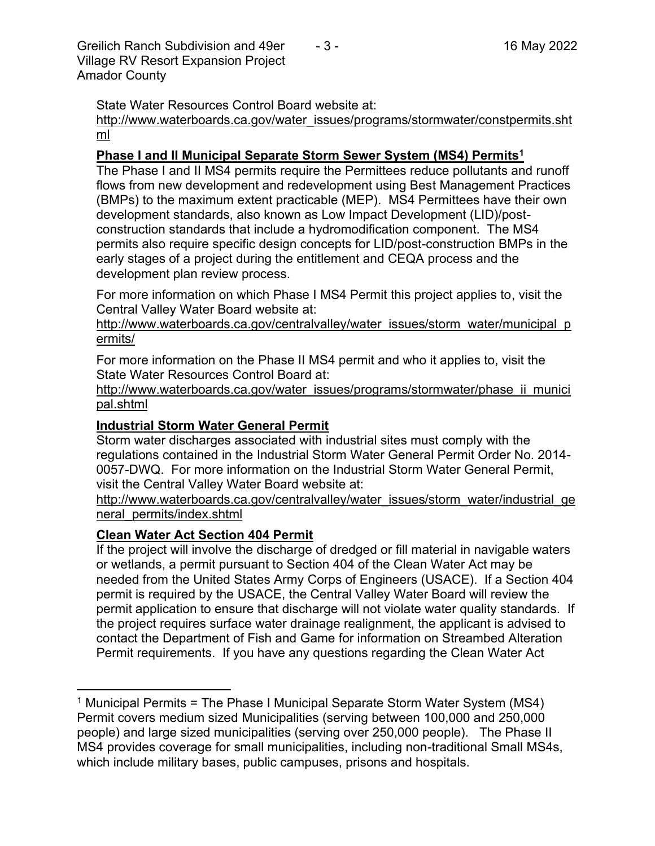Greilich Ranch Subdivision and 49er  $-3$  - 16 May 2022 Village RV Resort Expansion Project Amador County

State Water Resources Control Board website at:

[http://www.waterboards.ca.gov/water\\_issues/programs/stormwater/constpermits.sht](http://www.waterboards.ca.gov/water_issues/programs/stormwater/constpermits.shtml) [ml](http://www.waterboards.ca.gov/water_issues/programs/stormwater/constpermits.shtml)

#### **Phase I and II Municipal Separate Storm Sewer System (MS4) Permits<sup>1</sup>**

The Phase I and II MS4 permits require the Permittees reduce pollutants and runoff flows from new development and redevelopment using Best Management Practices (BMPs) to the maximum extent practicable (MEP). MS4 Permittees have their own development standards, also known as Low Impact Development (LID)/postconstruction standards that include a hydromodification component. The MS4 permits also require specific design concepts for LID/post-construction BMPs in the early stages of a project during the entitlement and CEQA process and the development plan review process.

For more information on which Phase I MS4 Permit this project applies to, visit the Central Valley Water Board website at:

http://www.waterboards.ca.gov/centralvalley/water\_issues/storm\_water/municipal\_p ermits/

For more information on the Phase II MS4 permit and who it applies to, visit the State Water Resources Control Board at:

http://www.waterboards.ca.gov/water\_issues/programs/stormwater/phase\_ii\_munici pal.shtml

#### **Industrial Storm Water General Permit**

Storm water discharges associated with industrial sites must comply with the regulations contained in the Industrial Storm Water General Permit Order No. 2014- 0057-DWQ. For more information on the Industrial Storm Water General Permit, visit the Central Valley Water Board website at:

http://www.waterboards.ca.gov/centralvalley/water\_issues/storm\_water/industrial\_ge neral\_permits/index.shtml

# **Clean Water Act Section 404 Permit**

If the project will involve the discharge of dredged or fill material in navigable waters or wetlands, a permit pursuant to Section 404 of the Clean Water Act may be needed from the United States Army Corps of Engineers (USACE). If a Section 404 permit is required by the USACE, the Central Valley Water Board will review the permit application to ensure that discharge will not violate water quality standards. If the project requires surface water drainage realignment, the applicant is advised to contact the Department of Fish and Game for information on Streambed Alteration Permit requirements. If you have any questions regarding the Clean Water Act

<sup>&</sup>lt;sup>1</sup> Municipal Permits = The Phase I Municipal Separate Storm Water System (MS4) Permit covers medium sized Municipalities (serving between 100,000 and 250,000 people) and large sized municipalities (serving over 250,000 people). The Phase II MS4 provides coverage for small municipalities, including non-traditional Small MS4s, which include military bases, public campuses, prisons and hospitals.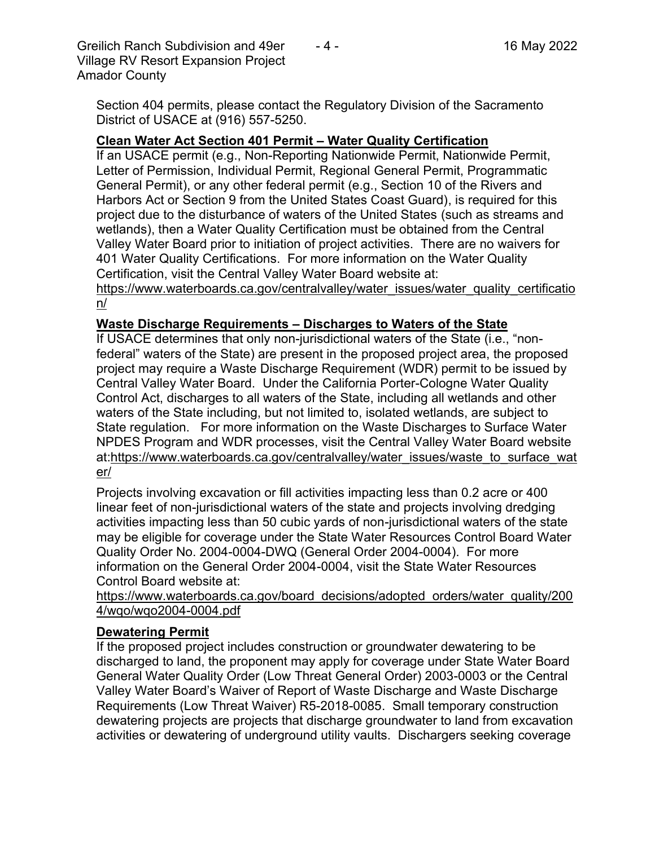Greilich Ranch Subdivision and 49er  $-4$  - 16 May 2022 Village RV Resort Expansion Project Amador County

Section 404 permits, please contact the Regulatory Division of the Sacramento District of USACE at (916) 557-5250.

# **Clean Water Act Section 401 Permit – Water Quality Certification**

If an USACE permit (e.g., Non-Reporting Nationwide Permit, Nationwide Permit, Letter of Permission, Individual Permit, Regional General Permit, Programmatic General Permit), or any other federal permit (e.g., Section 10 of the Rivers and Harbors Act or Section 9 from the United States Coast Guard), is required for this project due to the disturbance of waters of the United States (such as streams and wetlands), then a Water Quality Certification must be obtained from the Central Valley Water Board prior to initiation of project activities. There are no waivers for 401 Water Quality Certifications. For more information on the Water Quality Certification, visit the Central Valley Water Board website at:

https://www.waterboards.ca.gov/centralvalley/water\_issues/water\_quality\_certificatio n/

# **Waste Discharge Requirements – Discharges to Waters of the State**

If USACE determines that only non-jurisdictional waters of the State (i.e., "nonfederal" waters of the State) are present in the proposed project area, the proposed project may require a Waste Discharge Requirement (WDR) permit to be issued by Central Valley Water Board. Under the California Porter-Cologne Water Quality Control Act, discharges to all waters of the State, including all wetlands and other waters of the State including, but not limited to, isolated wetlands, are subject to State regulation. For more information on the Waste Discharges to Surface Water NPDES Program and WDR processes, visit the Central Valley Water Board website at:https://www.waterboards.ca.gov/centralvalley/water\_issues/waste\_to\_surface\_wat er/

Projects involving excavation or fill activities impacting less than 0.2 acre or 400 linear feet of non-jurisdictional waters of the state and projects involving dredging activities impacting less than 50 cubic yards of non-jurisdictional waters of the state may be eligible for coverage under the State Water Resources Control Board Water Quality Order No. 2004-0004-DWQ (General Order 2004-0004). For more information on the General Order 2004-0004, visit the State Water Resources Control Board website at:

https://www.waterboards.ca.gov/board\_decisions/adopted\_orders/water\_quality/200 4/wqo/wqo2004-0004.pdf

# **Dewatering Permit**

If the proposed project includes construction or groundwater dewatering to be discharged to land, the proponent may apply for coverage under State Water Board General Water Quality Order (Low Threat General Order) 2003-0003 or the Central Valley Water Board's Waiver of Report of Waste Discharge and Waste Discharge Requirements (Low Threat Waiver) R5-2018-0085. Small temporary construction dewatering projects are projects that discharge groundwater to land from excavation activities or dewatering of underground utility vaults. Dischargers seeking coverage